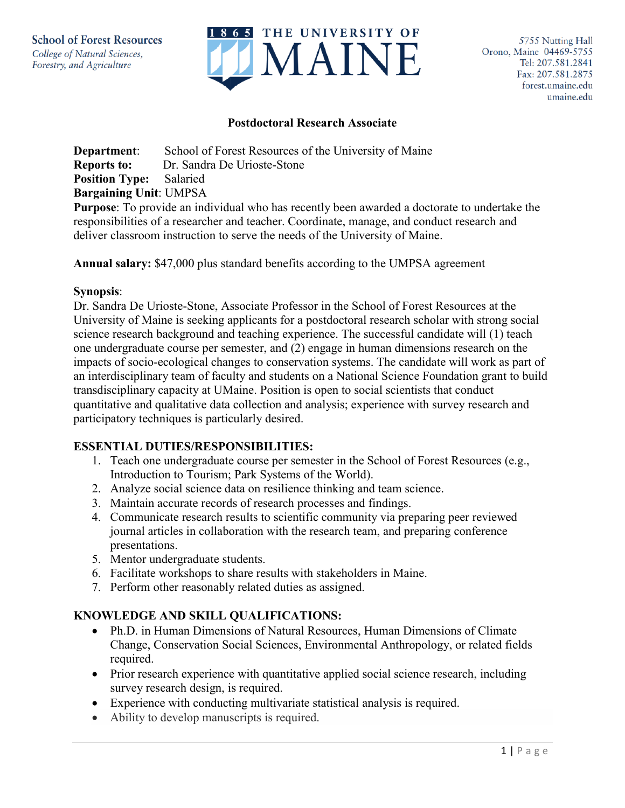

### **Postdoctoral Research Associate**

**Department:** School of Forest Resources of the University of Maine **Reports to:** Dr. Sandra De Urioste-Stone **Position Type:** Salaried **Bargaining Unit**: UMPSA **Purpose**: To provide an individual who has recently been awarded a doctorate to undertake the

responsibilities of a researcher and teacher. Coordinate, manage, and conduct research and deliver classroom instruction to serve the needs of the University of Maine.

**Annual salary:** \$47,000 plus standard benefits according to the UMPSA agreement

### **Synopsis**:

Dr. Sandra De Urioste-Stone, Associate Professor in the School of Forest Resources at the University of Maine is seeking applicants for a postdoctoral research scholar with strong social science research background and teaching experience. The successful candidate will (1) teach one undergraduate course per semester, and (2) engage in human dimensions research on the impacts of socio-ecological changes to conservation systems. The candidate will work as part of an interdisciplinary team of faculty and students on a National Science Foundation grant to build transdisciplinary capacity at UMaine. Position is open to social scientists that conduct quantitative and qualitative data collection and analysis; experience with survey research and participatory techniques is particularly desired.

## **ESSENTIAL DUTIES/RESPONSIBILITIES:**

- 1. Teach one undergraduate course per semester in the School of Forest Resources (e.g., Introduction to Tourism; Park Systems of the World).
- 2. Analyze social science data on resilience thinking and team science.
- 3. Maintain accurate records of research processes and findings.
- 4. Communicate research results to scientific community via preparing peer reviewed journal articles in collaboration with the research team, and preparing conference presentations.
- 5. Mentor undergraduate students.
- 6. Facilitate workshops to share results with stakeholders in Maine.
- 7. Perform other reasonably related duties as assigned.

# **KNOWLEDGE AND SKILL QUALIFICATIONS:**

- Ph.D. in Human Dimensions of Natural Resources, Human Dimensions of Climate Change, Conservation Social Sciences, Environmental Anthropology, or related fields required.
- Prior research experience with quantitative applied social science research, including survey research design, is required.
- Experience with conducting multivariate statistical analysis is required.
- Ability to develop manuscripts is required.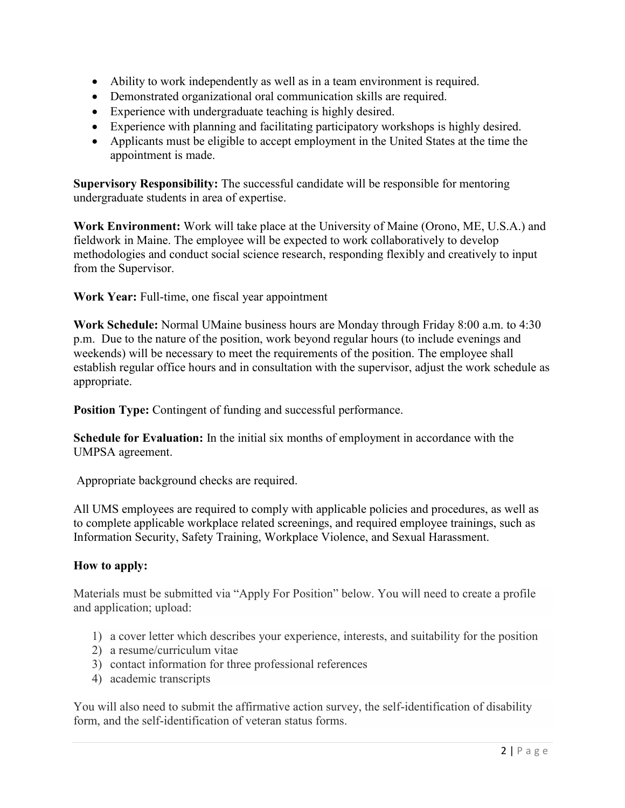- Ability to work independently as well as in a team environment is required.
- Demonstrated organizational oral communication skills are required.
- Experience with undergraduate teaching is highly desired.
- Experience with planning and facilitating participatory workshops is highly desired.
- Applicants must be eligible to accept employment in the United States at the time the appointment is made.

**Supervisory Responsibility:** The successful candidate will be responsible for mentoring undergraduate students in area of expertise.

**Work Environment:** Work will take place at the University of Maine (Orono, ME, U.S.A.) and fieldwork in Maine. The employee will be expected to work collaboratively to develop methodologies and conduct social science research, responding flexibly and creatively to input from the Supervisor.

**Work Year:** Full-time, one fiscal year appointment

**Work Schedule:** Normal UMaine business hours are Monday through Friday 8:00 a.m. to 4:30 p.m. Due to the nature of the position, work beyond regular hours (to include evenings and weekends) will be necessary to meet the requirements of the position. The employee shall establish regular office hours and in consultation with the supervisor, adjust the work schedule as appropriate.

**Position Type:** Contingent of funding and successful performance.

**Schedule for Evaluation:** In the initial six months of employment in accordance with the UMPSA agreement.

Appropriate background checks are required.

All UMS employees are required to comply with applicable policies and procedures, as well as to complete applicable workplace related screenings, and required employee trainings, such as Information Security, Safety Training, Workplace Violence, and Sexual Harassment.

# **How to apply:**

Materials must be submitted via "Apply For Position" below. You will need to create a profile and application; upload:

- 1) a cover letter which describes your experience, interests, and suitability for the position
- 2) a resume/curriculum vitae
- 3) contact information for three professional references
- 4) academic transcripts

You will also need to submit the affirmative action survey, the self-identification of disability form, and the self-identification of veteran status forms.